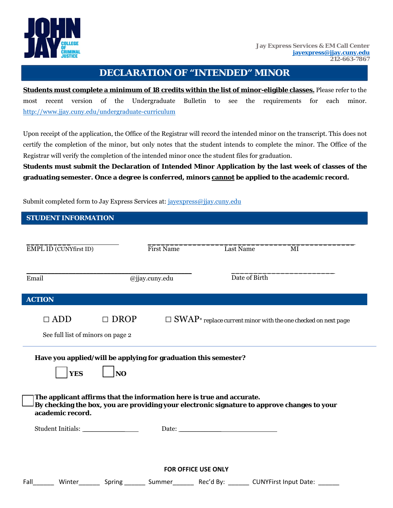

## **DECLARATION OF "INTENDED" MINOR**

**Students must complete a minimum of 18 credits within the list of minor-eligible classes.** Please refer to the most recent version of the Undergraduate Bulletin to see the requirements for each minor. http://www.jjay.cuny.edu/undergraduate-curriculum

Upon receipt of the application, the Office of the Registrar will record the intended minor on the transcript. This does not certify the completion of the minor, but only notes that the student intends to complete the minor. The Office of the Registrar will verify the completion of the intended minor once the student files for graduation.

**Students must submit the Declaration of Intended Minor Application by the last week of classes of the graduating semester. Once a degree is conferred, minors cannot be applied to the academic record.** 

Submit completed form to Jay Express Services at: jayexpress@jjay.cuny.edu

| <b>STUDENT INFORMATION</b>                                                                                                                                           |             |                                 |           |  |                                                                                  |  |  |
|----------------------------------------------------------------------------------------------------------------------------------------------------------------------|-------------|---------------------------------|-----------|--|----------------------------------------------------------------------------------|--|--|
|                                                                                                                                                                      |             |                                 |           |  |                                                                                  |  |  |
| EMPL ID (CUNYfirst ID)                                                                                                                                               |             | <b>First Name</b>               | Last Name |  | MI                                                                               |  |  |
|                                                                                                                                                                      |             |                                 |           |  |                                                                                  |  |  |
| Email                                                                                                                                                                |             | Date of Birth<br>@jjay.cuny.edu |           |  |                                                                                  |  |  |
|                                                                                                                                                                      |             |                                 |           |  |                                                                                  |  |  |
| <b>ACTION</b>                                                                                                                                                        |             |                                 |           |  |                                                                                  |  |  |
| $\Box$ ADD                                                                                                                                                           | $\Box$ DROP |                                 |           |  | $\Box$ SWAP <sup>*</sup> replace current minor with the one checked on next page |  |  |
| See full list of minors on page 2                                                                                                                                    |             |                                 |           |  |                                                                                  |  |  |
| Have you applied/will be applying for graduation this semester?                                                                                                      |             |                                 |           |  |                                                                                  |  |  |
| <b>YES</b>                                                                                                                                                           | <b>NO</b>   |                                 |           |  |                                                                                  |  |  |
|                                                                                                                                                                      |             |                                 |           |  |                                                                                  |  |  |
| The applicant affirms that the information here is true and accurate.<br>By checking the box, you are providing your electronic signature to approve changes to your |             |                                 |           |  |                                                                                  |  |  |
| academic record.                                                                                                                                                     |             |                                 |           |  |                                                                                  |  |  |
|                                                                                                                                                                      |             |                                 | Date:     |  |                                                                                  |  |  |
|                                                                                                                                                                      |             |                                 |           |  |                                                                                  |  |  |
|                                                                                                                                                                      |             |                                 |           |  |                                                                                  |  |  |
| <b>FOR OFFICE USE ONLY</b>                                                                                                                                           |             |                                 |           |  |                                                                                  |  |  |
| Fall________ Winter_________ Spring ________ Summer________ Rec'd By: _______ CUNYFirst Input Date: ______                                                           |             |                                 |           |  |                                                                                  |  |  |